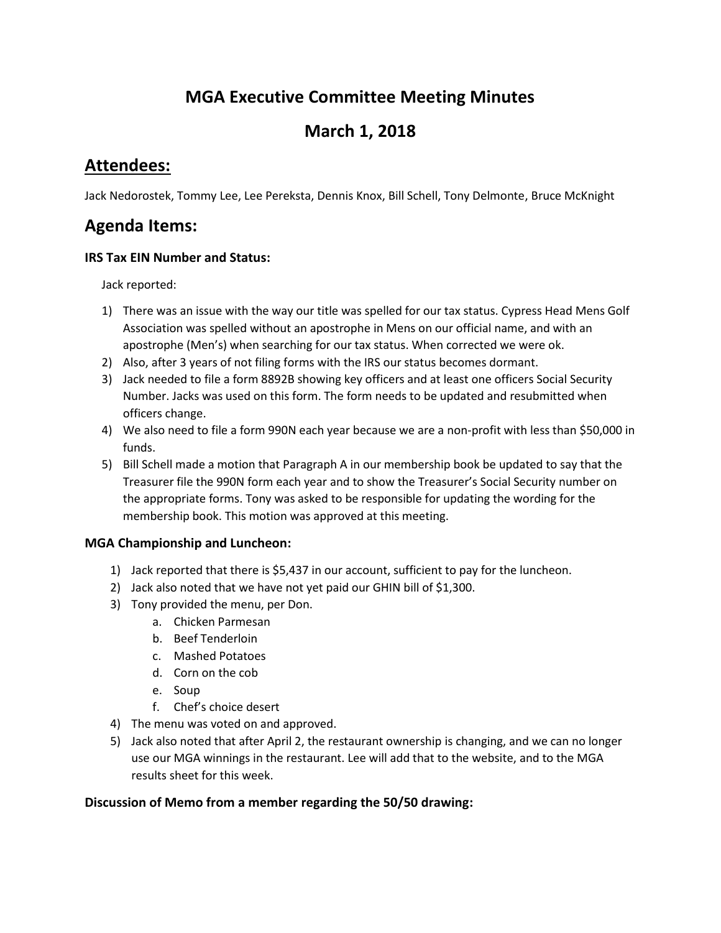# **MGA Executive Committee Meeting Minutes**

# **March 1, 2018**

## **Attendees:**

Jack Nedorostek, Tommy Lee, Lee Pereksta, Dennis Knox, Bill Schell, Tony Delmonte, Bruce McKnight

## **Agenda Items:**

### **IRS Tax EIN Number and Status:**

Jack reported:

- 1) There was an issue with the way our title was spelled for our tax status. Cypress Head Mens Golf Association was spelled without an apostrophe in Mens on our official name, and with an apostrophe (Men's) when searching for our tax status. When corrected we were ok.
- 2) Also, after 3 years of not filing forms with the IRS our status becomes dormant.
- 3) Jack needed to file a form 8892B showing key officers and at least one officers Social Security Number. Jacks was used on this form. The form needs to be updated and resubmitted when officers change.
- 4) We also need to file a form 990N each year because we are a non-profit with less than \$50,000 in funds.
- 5) Bill Schell made a motion that Paragraph A in our membership book be updated to say that the Treasurer file the 990N form each year and to show the Treasurer's Social Security number on the appropriate forms. Tony was asked to be responsible for updating the wording for the membership book. This motion was approved at this meeting.

## **MGA Championship and Luncheon:**

- 1) Jack reported that there is \$5,437 in our account, sufficient to pay for the luncheon.
- 2) Jack also noted that we have not yet paid our GHIN bill of \$1,300.
- 3) Tony provided the menu, per Don.
	- a. Chicken Parmesan
	- b. Beef Tenderloin
	- c. Mashed Potatoes
	- d. Corn on the cob
	- e. Soup
	- f. Chef's choice desert
- 4) The menu was voted on and approved.
- 5) Jack also noted that after April 2, the restaurant ownership is changing, and we can no longer use our MGA winnings in the restaurant. Lee will add that to the website, and to the MGA results sheet for this week.

## **Discussion of Memo from a member regarding the 50/50 drawing:**